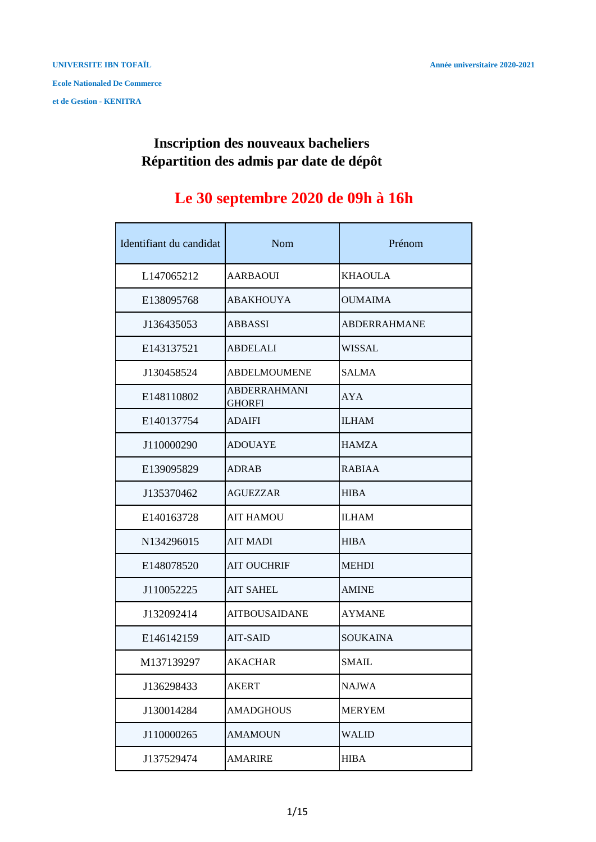#### **Répartition des admis par date de dépôt Inscription des nouveaux bacheliers**

# **Le 30 septembre 2020 de 09h à 16h**

| Identifiant du candidat | Nom                                  | Prénom              |
|-------------------------|--------------------------------------|---------------------|
| L147065212              | <b>AARBAOUI</b>                      | <b>KHAOULA</b>      |
| E138095768              | <b>ABAKHOUYA</b>                     | <b>OUMAIMA</b>      |
| J136435053              | <b>ABBASSI</b>                       | <b>ABDERRAHMANE</b> |
| E143137521              | <b>ABDELALI</b>                      | <b>WISSAL</b>       |
| J130458524              | <b>ABDELMOUMENE</b>                  | <b>SALMA</b>        |
| E148110802              | <b>ABDERRAHMANI</b><br><b>GHORFI</b> | AYA                 |
| E140137754              | <b>ADAIFI</b>                        | <b>ILHAM</b>        |
| J110000290              | <b>ADOUAYE</b>                       | <b>HAMZA</b>        |
| E139095829              | ADRAB                                | <b>RABIAA</b>       |
| J135370462              | <b>AGUEZZAR</b>                      | <b>HIBA</b>         |
| E140163728              | <b>AIT HAMOU</b>                     | <b>ILHAM</b>        |
| N134296015              | <b>AIT MADI</b>                      | <b>HIBA</b>         |
| E148078520              | <b>AIT OUCHRIF</b>                   | <b>MEHDI</b>        |
| J110052225              | <b>AIT SAHEL</b>                     | <b>AMINE</b>        |
| J132092414              | <b>AITBOUSAIDANE</b>                 | <b>AYMANE</b>       |
| E146142159              | <b>AIT-SAID</b>                      | <b>SOUKAINA</b>     |
| M137139297              | <b>AKACHAR</b>                       | SMAIL               |
| J136298433              | AKERT                                | <b>NAJWA</b>        |
| J130014284              | <b>AMADGHOUS</b>                     | <b>MERYEM</b>       |
| J110000265              | AMAMOUN                              | <b>WALID</b>        |
| J137529474              | AMARIRE                              | <b>HIBA</b>         |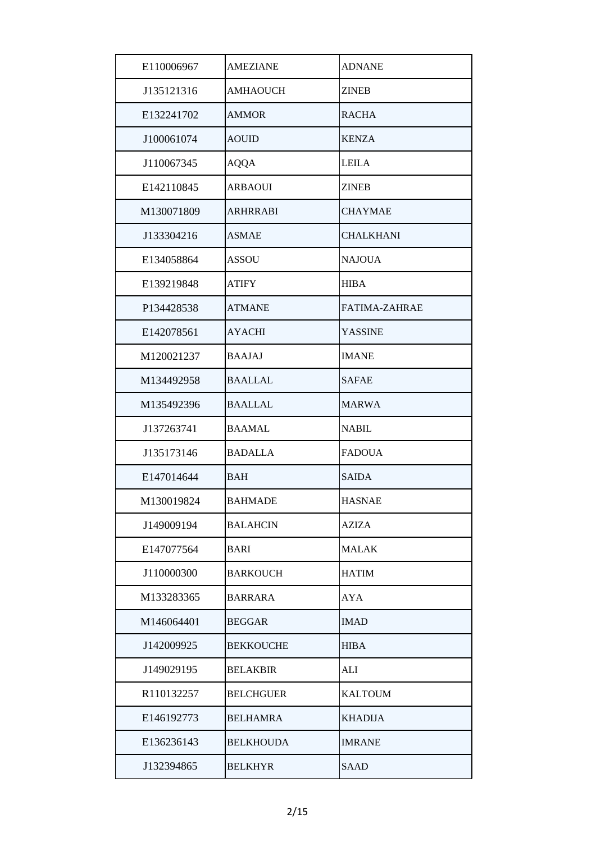| E110006967 | <b>AMEZIANE</b>  | <b>ADNANE</b>    |
|------------|------------------|------------------|
| J135121316 | <b>AMHAOUCH</b>  | <b>ZINEB</b>     |
| E132241702 | <b>AMMOR</b>     | <b>RACHA</b>     |
| J100061074 | <b>AOUID</b>     | <b>KENZA</b>     |
| J110067345 | <b>AQQA</b>      | <b>LEILA</b>     |
| E142110845 | <b>ARBAOUI</b>   | <b>ZINEB</b>     |
| M130071809 | <b>ARHRRABI</b>  | <b>CHAYMAE</b>   |
| J133304216 | <b>ASMAE</b>     | <b>CHALKHANI</b> |
| E134058864 | <b>ASSOU</b>     | <b>NAJOUA</b>    |
| E139219848 | <b>ATIFY</b>     | <b>HIBA</b>      |
| P134428538 | <b>ATMANE</b>    | FATIMA-ZAHRAE    |
| E142078561 | <b>AYACHI</b>    | <b>YASSINE</b>   |
| M120021237 | <b>BAAJAJ</b>    | <b>IMANE</b>     |
| M134492958 | <b>BAALLAL</b>   | <b>SAFAE</b>     |
| M135492396 | <b>BAALLAL</b>   | <b>MARWA</b>     |
| J137263741 | <b>BAAMAL</b>    | <b>NABIL</b>     |
| J135173146 | <b>BADALLA</b>   | <b>FADOUA</b>    |
| E147014644 | <b>BAH</b>       | <b>SAIDA</b>     |
| M130019824 | <b>BAHMADE</b>   | <b>HASNAE</b>    |
| J149009194 | <b>BALAHCIN</b>  | AZIZA            |
| E147077564 | <b>BARI</b>      | <b>MALAK</b>     |
| J110000300 | <b>BARKOUCH</b>  | <b>HATIM</b>     |
| M133283365 | <b>BARRARA</b>   | AYA              |
| M146064401 | <b>BEGGAR</b>    | <b>IMAD</b>      |
| J142009925 | <b>BEKKOUCHE</b> | <b>HIBA</b>      |
| J149029195 | <b>BELAKBIR</b>  | <b>ALI</b>       |
| R110132257 | <b>BELCHGUER</b> | <b>KALTOUM</b>   |
| E146192773 | <b>BELHAMRA</b>  | <b>KHADIJA</b>   |
| E136236143 | <b>BELKHOUDA</b> | <b>IMRANE</b>    |
| J132394865 | <b>BELKHYR</b>   | <b>SAAD</b>      |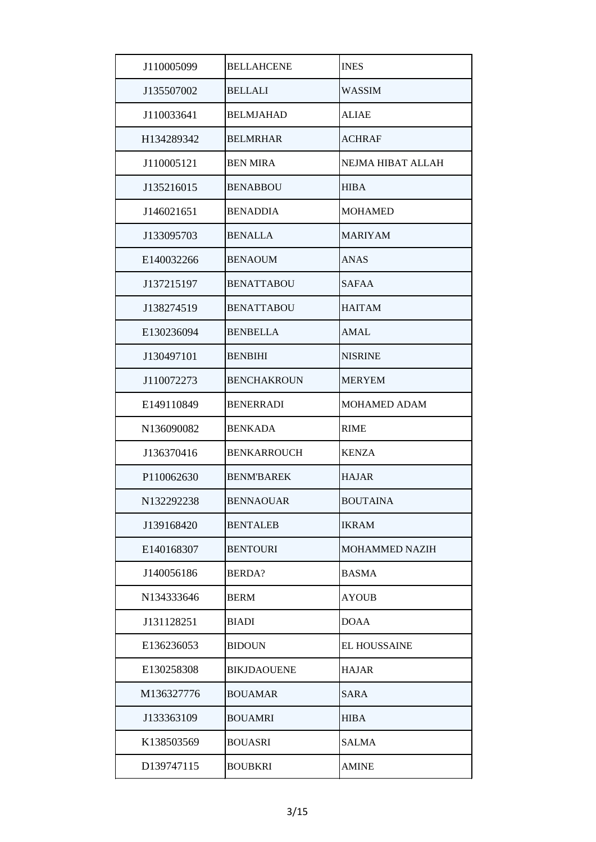| J110005099 | <b>BELLAHCENE</b>  | <b>INES</b>         |
|------------|--------------------|---------------------|
| J135507002 | <b>BELLALI</b>     | <b>WASSIM</b>       |
| J110033641 | <b>BELMJAHAD</b>   | <b>ALIAE</b>        |
| H134289342 | <b>BELMRHAR</b>    | <b>ACHRAF</b>       |
| J110005121 | <b>BEN MIRA</b>    | NEJMA HIBAT ALLAH   |
| J135216015 | <b>BENABBOU</b>    | <b>HIBA</b>         |
| J146021651 | <b>BENADDIA</b>    | <b>MOHAMED</b>      |
| J133095703 | <b>BENALLA</b>     | <b>MARIYAM</b>      |
| E140032266 | <b>BENAOUM</b>     | <b>ANAS</b>         |
| J137215197 | <b>BENATTABOU</b>  | <b>SAFAA</b>        |
| J138274519 | <b>BENATTABOU</b>  | <b>HAITAM</b>       |
| E130236094 | <b>BENBELLA</b>    | AMAL                |
| J130497101 | <b>BENBIHI</b>     | <b>NISRINE</b>      |
| J110072273 | <b>BENCHAKROUN</b> | <b>MERYEM</b>       |
| E149110849 | <b>BENERRADI</b>   | <b>MOHAMED ADAM</b> |
| N136090082 | <b>BENKADA</b>     | <b>RIME</b>         |
| J136370416 | <b>BENKARROUCH</b> | <b>KENZA</b>        |
| P110062630 | <b>BENM'BAREK</b>  | <b>HAJAR</b>        |
| N132292238 | <b>BENNAOUAR</b>   | BOUTAINA            |
| J139168420 | <b>BENTALEB</b>    | <b>IKRAM</b>        |
| E140168307 | <b>BENTOURI</b>    | MOHAMMED NAZIH      |
| J140056186 | <b>BERDA?</b>      | <b>BASMA</b>        |
| N134333646 | <b>BERM</b>        | <b>AYOUB</b>        |
| J131128251 | BIADI              | <b>DOAA</b>         |
| E136236053 | <b>BIDOUN</b>      | <b>EL HOUSSAINE</b> |
| E130258308 | <b>BIKJDAOUENE</b> | <b>HAJAR</b>        |
| M136327776 | <b>BOUAMAR</b>     | <b>SARA</b>         |
| J133363109 | <b>BOUAMRI</b>     | <b>HIBA</b>         |
| K138503569 | <b>BOUASRI</b>     | <b>SALMA</b>        |
| D139747115 | BOUBKRI            | <b>AMINE</b>        |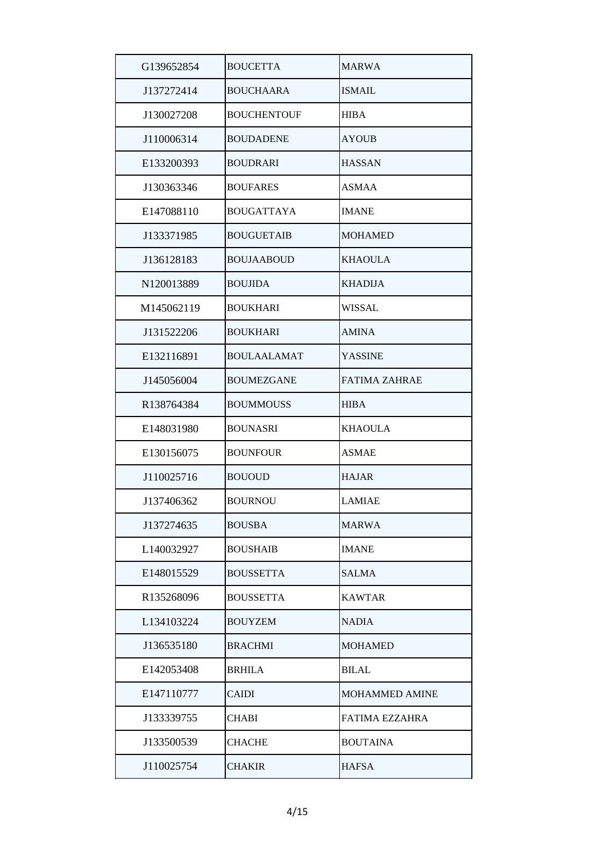| G139652854 | <b>BOUCETTA</b>    | <b>MARWA</b>          |
|------------|--------------------|-----------------------|
| J137272414 | <b>BOUCHAARA</b>   | <b>ISMAIL</b>         |
| J130027208 | <b>BOUCHENTOUF</b> | <b>HIBA</b>           |
| J110006314 | <b>BOUDADENE</b>   | <b>AYOUB</b>          |
| E133200393 | <b>BOUDRARI</b>    | <b>HASSAN</b>         |
| J130363346 | <b>BOUFARES</b>    | <b>ASMAA</b>          |
| E147088110 | <b>BOUGATTAYA</b>  | IMANE                 |
| J133371985 | <b>BOUGUETAIB</b>  | <b>MOHAMED</b>        |
| J136128183 | <b>BOUJAABOUD</b>  | <b>KHAOULA</b>        |
| N120013889 | <b>BOUJIDA</b>     | <b>KHADIJA</b>        |
| M145062119 | <b>BOUKHARI</b>    | WISSAL                |
| J131522206 | <b>BOUKHARI</b>    | <b>AMINA</b>          |
| E132116891 | <b>BOULAALAMAT</b> | <b>YASSINE</b>        |
| J145056004 | <b>BOUMEZGANE</b>  | <b>FATIMA ZAHRAE</b>  |
| R138764384 | <b>BOUMMOUSS</b>   | <b>HIBA</b>           |
| E148031980 | <b>BOUNASRI</b>    | <b>KHAOULA</b>        |
| E130156075 | <b>BOUNFOUR</b>    | <b>ASMAE</b>          |
| J110025716 | <b>BOUOUD</b>      | <b>HAJAR</b>          |
| J137406362 | <b>BOURNOU</b>     | LAMIAE                |
| J137274635 | <b>BOUSBA</b>      | <b>MARWA</b>          |
| L140032927 | <b>BOUSHAIB</b>    | <b>IMANE</b>          |
| E148015529 | <b>BOUSSETTA</b>   | <b>SALMA</b>          |
| R135268096 | <b>BOUSSETTA</b>   | <b>KAWTAR</b>         |
| L134103224 | <b>BOUYZEM</b>     | <b>NADIA</b>          |
| J136535180 | <b>BRACHMI</b>     | MOHAMED               |
| E142053408 | <b>BRHILA</b>      | BILAL                 |
| E147110777 | <b>CAIDI</b>       | <b>MOHAMMED AMINE</b> |
| J133339755 | <b>CHABI</b>       | <b>FATIMA EZZAHRA</b> |
| J133500539 | <b>CHACHE</b>      | <b>BOUTAINA</b>       |
| J110025754 | <b>CHAKIR</b>      | <b>HAFSA</b>          |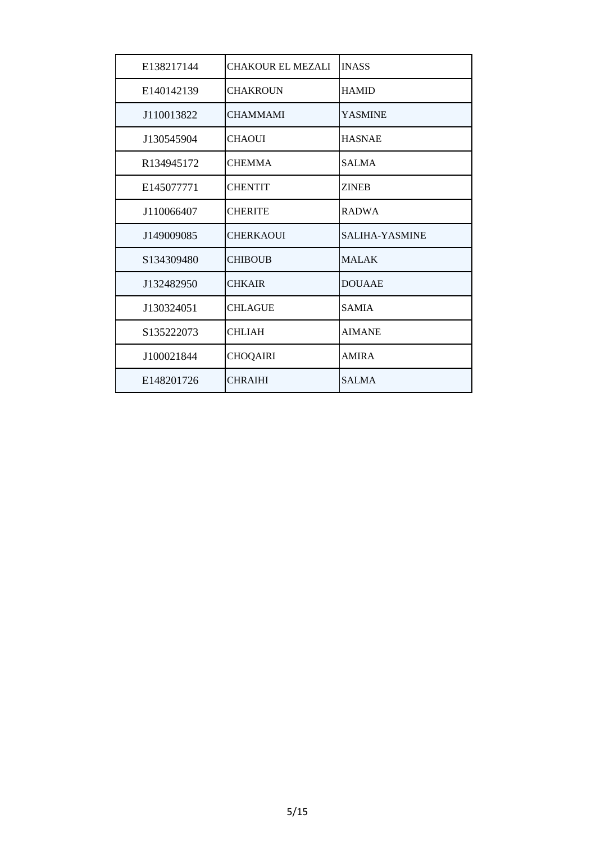| E138217144             | <b>CHAKOUR EL MEZALI</b> | <b>INASS</b>   |
|------------------------|--------------------------|----------------|
| E140142139             | <b>CHAKROUN</b>          | <b>HAMID</b>   |
| J110013822             | <b>CHAMMAMI</b>          | <b>YASMINE</b> |
| J130545904             | <b>CHAOUI</b>            | <b>HASNAE</b>  |
| R <sub>134945172</sub> | <b>CHEMMA</b>            | <b>SALMA</b>   |
| E145077771             | <b>CHENTIT</b>           | <b>ZINEB</b>   |
| J110066407             | <b>CHERITE</b>           | <b>RADWA</b>   |
| J149009085             | <b>CHERKAOUI</b>         | SALIHA-YASMINE |
| S134309480             | <b>CHIBOUB</b>           | <b>MALAK</b>   |
| J132482950             | <b>CHKAIR</b>            | <b>DOUAAE</b>  |
| J130324051             | <b>CHLAGUE</b>           | <b>SAMIA</b>   |
| S135222073             | <b>CHLIAH</b>            | <b>AIMANE</b>  |
| J100021844             | <b>CHOQAIRI</b>          | <b>AMIRA</b>   |
| E148201726             | <b>CHRAIHI</b>           | <b>SALMA</b>   |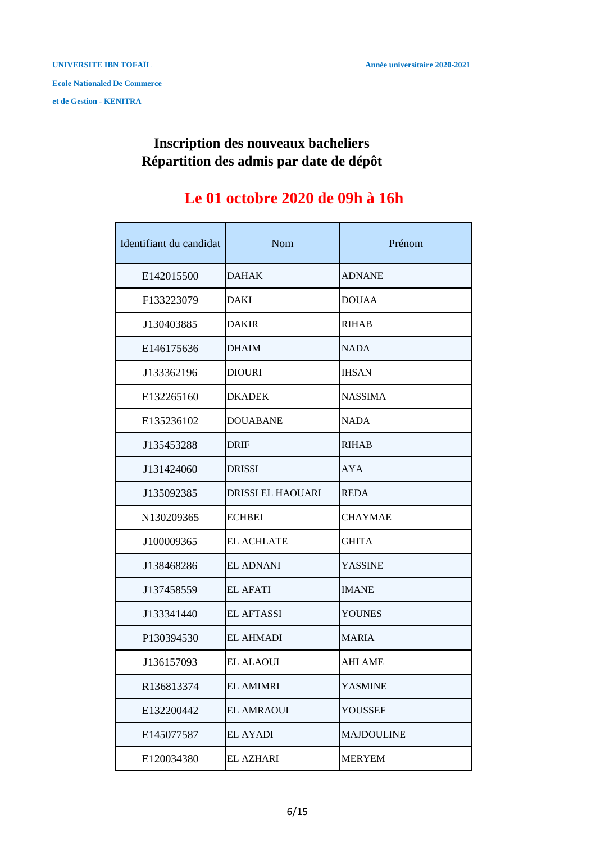#### **Inscription des nouveaux bacheliers Répartition des admis par date de dépôt**

## **Le 01 octobre 2020 de 09h à 16h**

| Identifiant du candidat | Nom                      | Prénom            |
|-------------------------|--------------------------|-------------------|
| E142015500              | <b>DAHAK</b>             | <b>ADNANE</b>     |
| F133223079              | <b>DAKI</b>              | <b>DOUAA</b>      |
| J130403885              | <b>DAKIR</b>             | <b>RIHAB</b>      |
| E146175636              | <b>DHAIM</b>             | <b>NADA</b>       |
| J133362196              | <b>DIOURI</b>            | <b>IHSAN</b>      |
| E132265160              | <b>DKADEK</b>            | <b>NASSIMA</b>    |
| E135236102              | <b>DOUABANE</b>          | <b>NADA</b>       |
| J135453288              | <b>DRIF</b>              | <b>RIHAB</b>      |
| J131424060              | <b>DRISSI</b>            | <b>AYA</b>        |
| J135092385              | <b>DRISSI EL HAOUARI</b> | <b>REDA</b>       |
| N130209365              | <b>ECHBEL</b>            | <b>CHAYMAE</b>    |
| J100009365              | <b>EL ACHLATE</b>        | <b>GHITA</b>      |
| J138468286              | <b>EL ADNANI</b>         | <b>YASSINE</b>    |
| J137458559              | <b>EL AFATI</b>          | <b>IMANE</b>      |
| J133341440              | <b>EL AFTASSI</b>        | <b>YOUNES</b>     |
| P130394530              | <b>EL AHMADI</b>         | <b>MARIA</b>      |
| J136157093              | <b>EL ALAOUI</b>         | <b>AHLAME</b>     |
| R136813374              | <b>EL AMIMRI</b>         | YASMINE           |
| E132200442              | <b>EL AMRAOUI</b>        | YOUSSEF           |
| E145077587              | <b>EL AYADI</b>          | <b>MAJDOULINE</b> |
| E120034380              | <b>EL AZHARI</b>         | <b>MERYEM</b>     |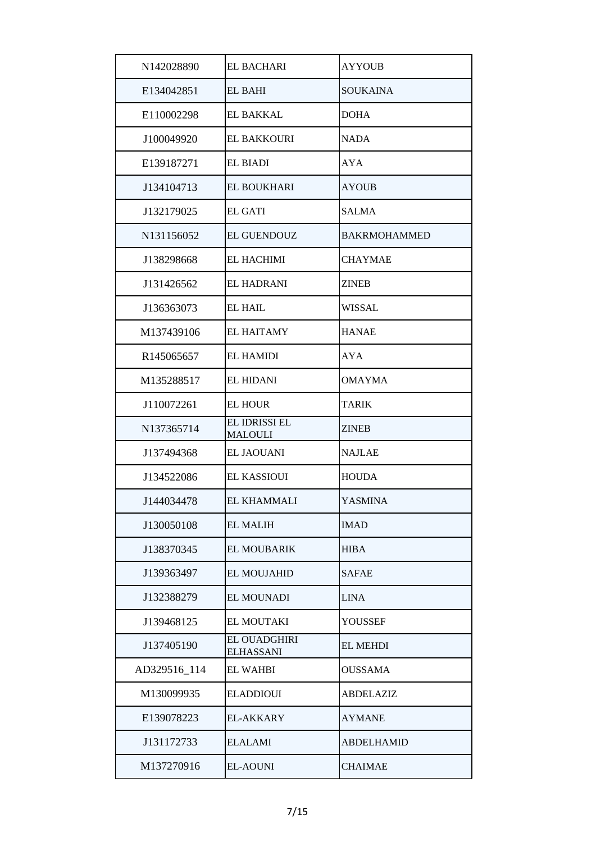| N142028890   | <b>EL BACHARI</b>                | <b>AYYOUB</b>       |
|--------------|----------------------------------|---------------------|
| E134042851   | <b>EL BAHI</b>                   | <b>SOUKAINA</b>     |
| E110002298   | EL BAKKAL                        | <b>DOHA</b>         |
| J100049920   | <b>EL BAKKOURI</b>               | NADA                |
| E139187271   | <b>EL BIADI</b>                  | <b>AYA</b>          |
| J134104713   | <b>EL BOUKHARI</b>               | <b>AYOUB</b>        |
| J132179025   | <b>EL GATI</b>                   | <b>SALMA</b>        |
| N131156052   | <b>EL GUENDOUZ</b>               | <b>BAKRMOHAMMED</b> |
| J138298668   | <b>EL HACHIMI</b>                | <b>CHAYMAE</b>      |
| J131426562   | <b>EL HADRANI</b>                | <b>ZINEB</b>        |
| J136363073   | <b>EL HAIL</b>                   | <b>WISSAL</b>       |
| M137439106   | <b>EL HAITAMY</b>                | <b>HANAE</b>        |
| R145065657   | <b>EL HAMIDI</b>                 | <b>AYA</b>          |
| M135288517   | <b>EL HIDANI</b>                 | <b>OMAYMA</b>       |
| J110072261   | <b>EL HOUR</b>                   | <b>TARIK</b>        |
| N137365714   | EL IDRISSI EL<br><b>MALOULI</b>  | <b>ZINEB</b>        |
| J137494368   | <b>EL JAOUANI</b>                | <b>NAJLAE</b>       |
| J134522086   | EL KASSIOUI                      | <b>HOUDA</b>        |
| J144034478   | EL KHAMMALI                      | <b>YASMINA</b>      |
| J130050108   | <b>EL MALIH</b>                  | <b>IMAD</b>         |
| J138370345   | <b>EL MOUBARIK</b>               | <b>HIBA</b>         |
| J139363497   | <b>EL MOUJAHID</b>               | <b>SAFAE</b>        |
| J132388279   | <b>EL MOUNADI</b>                | <b>LINA</b>         |
| J139468125   | EL MOUTAKI                       | YOUSSEF             |
| J137405190   | EL OUADGHIRI<br><b>ELHASSANI</b> | <b>EL MEHDI</b>     |
| AD329516_114 | <b>EL WAHBI</b>                  | <b>OUSSAMA</b>      |
| M130099935   | <b>ELADDIOUI</b>                 | <b>ABDELAZIZ</b>    |
| E139078223   | EL-AKKARY                        | <b>AYMANE</b>       |
| J131172733   | <b>ELALAMI</b>                   | <b>ABDELHAMID</b>   |
| M137270916   | <b>EL-AOUNI</b>                  | <b>CHAIMAE</b>      |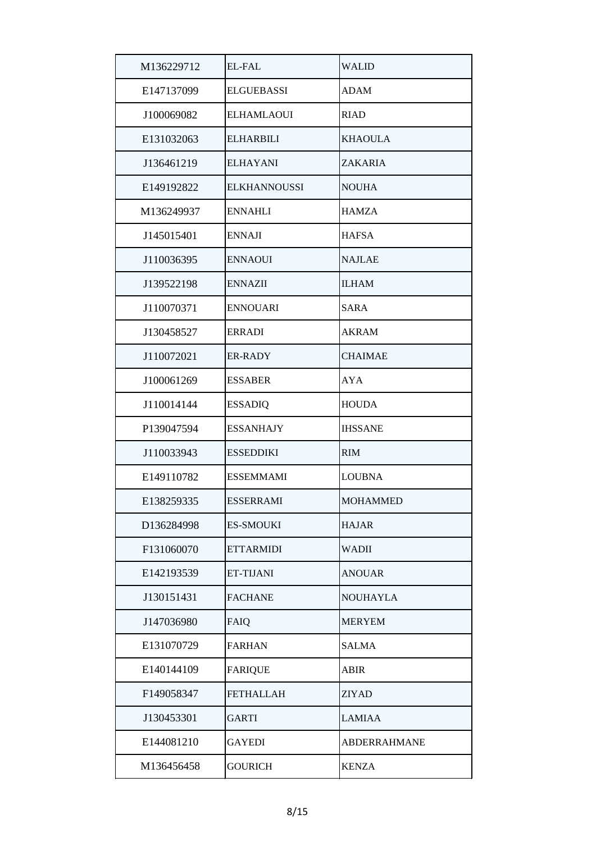| M136229712 | <b>EL-FAL</b>       | WALID           |
|------------|---------------------|-----------------|
| E147137099 | <b>ELGUEBASSI</b>   | <b>ADAM</b>     |
| J100069082 | <b>ELHAMLAOUI</b>   | <b>RIAD</b>     |
| E131032063 | <b>ELHARBILI</b>    | <b>KHAOULA</b>  |
| J136461219 | <b>ELHAYANI</b>     | ZAKARIA         |
| E149192822 | <b>ELKHANNOUSSI</b> | <b>NOUHA</b>    |
| M136249937 | ENNAHLI             | <b>HAMZA</b>    |
| J145015401 | <b>ENNAJI</b>       | <b>HAFSA</b>    |
| J110036395 | <b>ENNAOUI</b>      | <b>NAJLAE</b>   |
| J139522198 | <b>ENNAZII</b>      | <b>ILHAM</b>    |
| J110070371 | <b>ENNOUARI</b>     | SARA            |
| J130458527 | <b>ERRADI</b>       | <b>AKRAM</b>    |
| J110072021 | <b>ER-RADY</b>      | <b>CHAIMAE</b>  |
| J100061269 | <b>ESSABER</b>      | AYA             |
| J110014144 | <b>ESSADIQ</b>      | <b>HOUDA</b>    |
| P139047594 | <b>ESSANHAJY</b>    | <b>IHSSANE</b>  |
| J110033943 | <b>ESSEDDIKI</b>    | <b>RIM</b>      |
| E149110782 | <b>ESSEMMAMI</b>    | <b>LOUBNA</b>   |
| E138259335 | <b>ESSERRAMI</b>    | <b>MOHAMMED</b> |
| D136284998 | <b>ES-SMOUKI</b>    | <b>HAJAR</b>    |
| F131060070 | <b>ETTARMIDI</b>    | WADII           |
| E142193539 | ET-TIJANI           | <b>ANOUAR</b>   |
| J130151431 | <b>FACHANE</b>      | NOUHAYLA        |
| J147036980 | FAIQ                | <b>MERYEM</b>   |
| E131070729 | <b>FARHAN</b>       | SALMA           |
| E140144109 | <b>FARIQUE</b>      | ABIR            |
| F149058347 | <b>FETHALLAH</b>    | ZIYAD           |
| J130453301 | <b>GARTI</b>        | <b>LAMIAA</b>   |
| E144081210 | <b>GAYEDI</b>       | ABDERRAHMANE    |
| M136456458 | <b>GOURICH</b>      | <b>KENZA</b>    |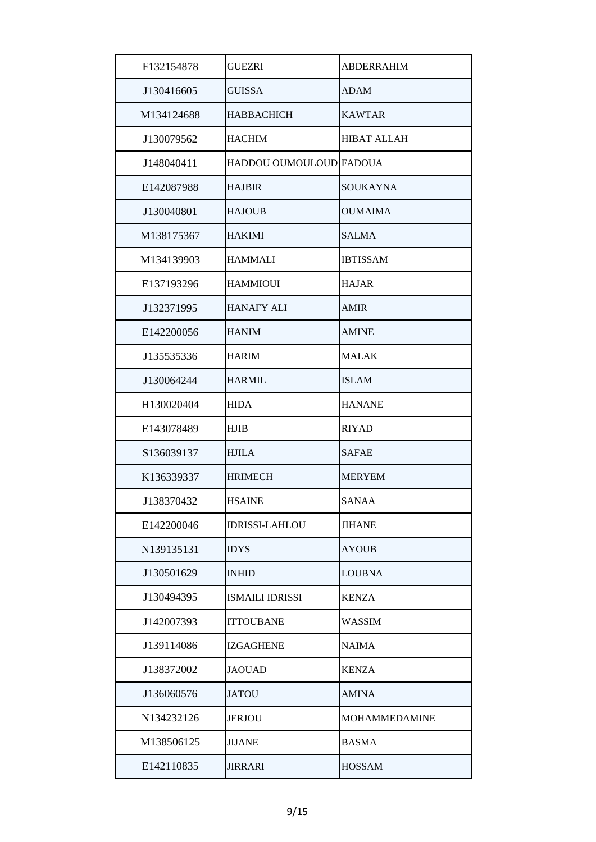| F132154878 | <b>GUEZRI</b>           | <b>ABDERRAHIM</b>    |
|------------|-------------------------|----------------------|
| J130416605 | <b>GUISSA</b>           | <b>ADAM</b>          |
| M134124688 | <b>HABBACHICH</b>       | <b>KAWTAR</b>        |
| J130079562 | <b>HACHIM</b>           | <b>HIBAT ALLAH</b>   |
| J148040411 | HADDOU OUMOULOUD FADOUA |                      |
| E142087988 | <b>HAJBIR</b>           | SOUKAYNA             |
| J130040801 | <b>HAJOUB</b>           | <b>OUMAIMA</b>       |
| M138175367 | <b>HAKIMI</b>           | <b>SALMA</b>         |
| M134139903 | <b>HAMMALI</b>          | <b>IBTISSAM</b>      |
| E137193296 | <b>HAMMIOUI</b>         | <b>HAJAR</b>         |
| J132371995 | <b>HANAFY ALI</b>       | <b>AMIR</b>          |
| E142200056 | <b>HANIM</b>            | <b>AMINE</b>         |
| J135535336 | <b>HARIM</b>            | <b>MALAK</b>         |
| J130064244 | <b>HARMIL</b>           | <b>ISLAM</b>         |
| H130020404 | <b>HIDA</b>             | <b>HANANE</b>        |
| E143078489 | <b>HJIB</b>             | <b>RIYAD</b>         |
| S136039137 | <b>HJILA</b>            | SAFAE                |
| K136339337 | <b>HRIMECH</b>          | <b>MERYEM</b>        |
| J138370432 | <b>HSAINE</b>           | <b>SANAA</b>         |
| E142200046 | <b>IDRISSI-LAHLOU</b>   | <b>JIHANE</b>        |
| N139135131 | <b>IDYS</b>             | <b>AYOUB</b>         |
| J130501629 | <b>INHID</b>            | <b>LOUBNA</b>        |
| J130494395 | <b>ISMAILI IDRISSI</b>  | <b>KENZA</b>         |
| J142007393 | <b>ITTOUBANE</b>        | <b>WASSIM</b>        |
| J139114086 | <b>IZGAGHENE</b>        | <b>NAIMA</b>         |
| J138372002 | <b>JAOUAD</b>           | <b>KENZA</b>         |
| J136060576 | <b>JATOU</b>            | AMINA                |
| N134232126 | <b>JERJOU</b>           | <b>MOHAMMEDAMINE</b> |
| M138506125 | <b>JIJANE</b>           | <b>BASMA</b>         |
| E142110835 | JIRRARI                 | <b>HOSSAM</b>        |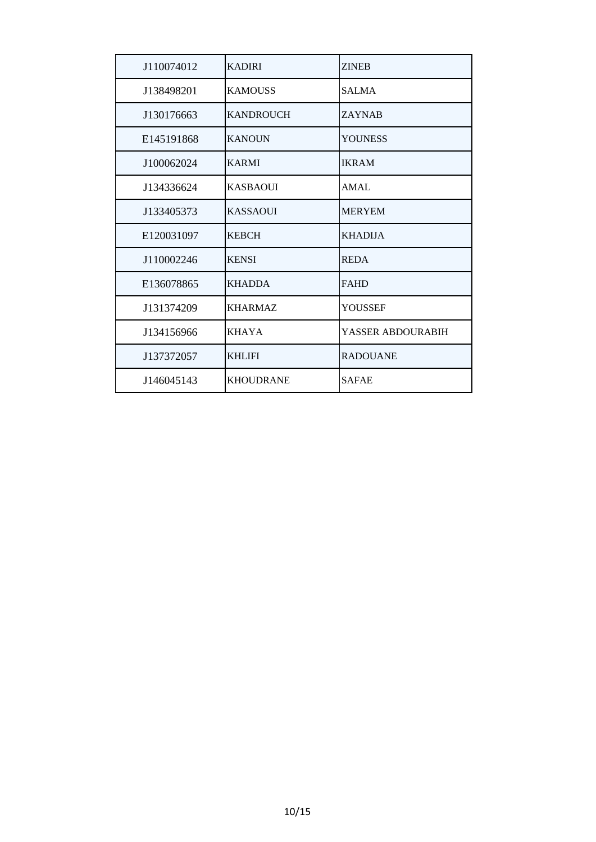| J110074012 | <b>KADIRI</b>    | <b>ZINEB</b>      |
|------------|------------------|-------------------|
| J138498201 | <b>KAMOUSS</b>   | <b>SALMA</b>      |
| J130176663 | <b>KANDROUCH</b> | <b>ZAYNAB</b>     |
| E145191868 | <b>KANOUN</b>    | <b>YOUNESS</b>    |
| J100062024 | <b>KARMI</b>     | <b>IKRAM</b>      |
| J134336624 | <b>KASBAOUI</b>  | AMAL              |
| J133405373 | <b>KASSAQUI</b>  | <b>MERYEM</b>     |
| E120031097 | <b>KEBCH</b>     | <b>KHADIJA</b>    |
| J110002246 | <b>KENSI</b>     | <b>REDA</b>       |
| E136078865 | <b>KHADDA</b>    | <b>FAHD</b>       |
| J131374209 | <b>KHARMAZ</b>   | <b>YOUSSEF</b>    |
| J134156966 | <b>KHAYA</b>     | YASSER ABDOURABIH |
| J137372057 | <b>KHLIFI</b>    | <b>RADOUANE</b>   |
| J146045143 | <b>KHOUDRANE</b> | <b>SAFAE</b>      |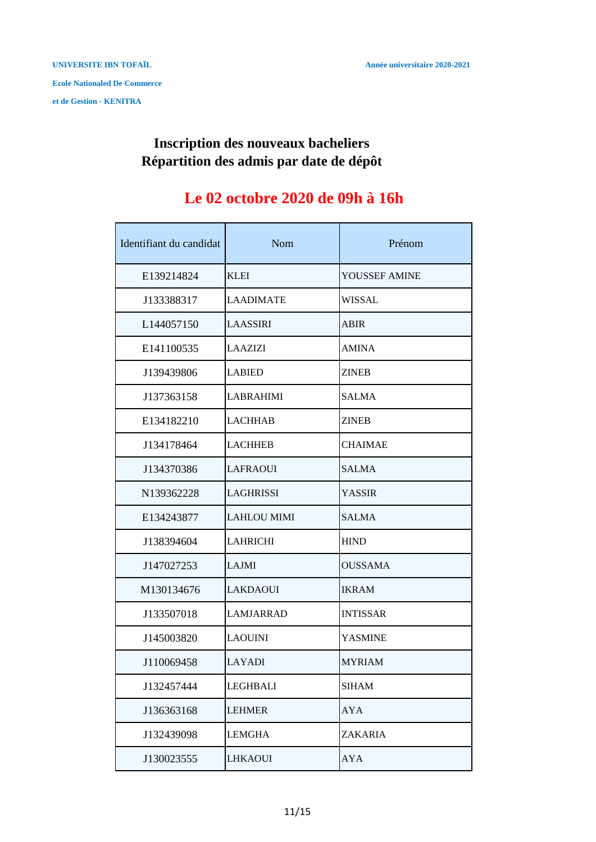### **Répartition des admis par date de dépôt Inscription des nouveaux bacheliers**

## **Le 02 octobre 2020 de 09h à 16h**

| Identifiant du candidat | Nom                | Prénom          |
|-------------------------|--------------------|-----------------|
| E139214824              | <b>KLEI</b>        | YOUSSEF AMINE   |
| J133388317              | <b>LAADIMATE</b>   | <b>WISSAL</b>   |
| L144057150              | <b>LAASSIRI</b>    | <b>ABIR</b>     |
| E141100535              | <b>LAAZIZI</b>     | <b>AMINA</b>    |
| J139439806              | <b>LABIED</b>      | <b>ZINEB</b>    |
| J137363158              | <b>LABRAHIMI</b>   | <b>SALMA</b>    |
| E134182210              | <b>LACHHAB</b>     | <b>ZINEB</b>    |
| J134178464              | <b>LACHHEB</b>     | <b>CHAIMAE</b>  |
| J134370386              | <b>LAFRAOUI</b>    | <b>SALMA</b>    |
| N139362228              | <b>LAGHRISSI</b>   | <b>YASSIR</b>   |
| E134243877              | <b>LAHLOU MIMI</b> | <b>SALMA</b>    |
| J138394604              | <b>LAHRICHI</b>    | <b>HIND</b>     |
| J147027253              | LAJMI              | <b>OUSSAMA</b>  |
| M130134676              | <b>LAKDAOUI</b>    | <b>IKRAM</b>    |
| J133507018              | LAMJARRAD          | <b>INTISSAR</b> |
| J145003820              | <b>LAOUINI</b>     | <b>YASMINE</b>  |
| J110069458              | LAYADI             | <b>MYRIAM</b>   |
| J132457444              | LEGHBALI           | <b>SIHAM</b>    |
| J136363168              | <b>LEHMER</b>      | AYA             |
| J132439098              | LEMGHA             | <b>ZAKARIA</b>  |
| J130023555              | <b>LHKAOUI</b>     | AYA             |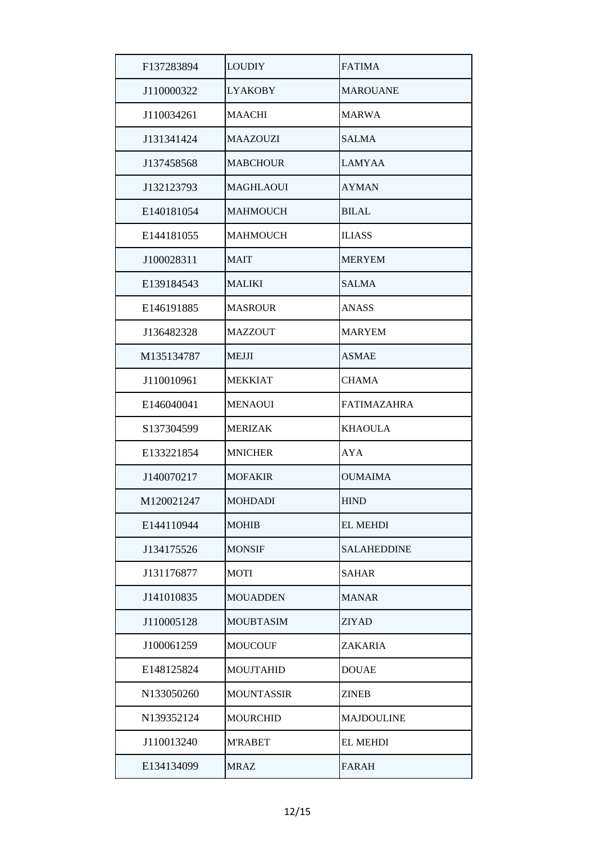| F137283894 | LOUDIY            | <b>FATIMA</b>      |
|------------|-------------------|--------------------|
| J110000322 | <b>LYAKOBY</b>    | <b>MAROUANE</b>    |
| J110034261 | <b>MAACHI</b>     | MARWA              |
| J131341424 | <b>MAAZOUZI</b>   | <b>SALMA</b>       |
| J137458568 | <b>MABCHOUR</b>   | <b>LAMYAA</b>      |
| J132123793 | <b>MAGHLAOUI</b>  | <b>AYMAN</b>       |
| E140181054 | <b>MAHMOUCH</b>   | <b>BILAL</b>       |
| E144181055 | <b>MAHMOUCH</b>   | <b>ILIASS</b>      |
| J100028311 | <b>MAIT</b>       | <b>MERYEM</b>      |
| E139184543 | <b>MALIKI</b>     | <b>SALMA</b>       |
| E146191885 | <b>MASROUR</b>    | <b>ANASS</b>       |
| J136482328 | <b>MAZZOUT</b>    | <b>MARYEM</b>      |
| M135134787 | <b>MEJJI</b>      | <b>ASMAE</b>       |
| J110010961 | <b>MEKKIAT</b>    | <b>CHAMA</b>       |
| E146040041 | <b>MENAOUI</b>    | <b>FATIMAZAHRA</b> |
| S137304599 | <b>MERIZAK</b>    | <b>KHAOULA</b>     |
| E133221854 | <b>MNICHER</b>    | <b>AYA</b>         |
| J140070217 | <b>MOFAKIR</b>    | <b>OUMAIMA</b>     |
| M120021247 | <b>MOHDADI</b>    | <b>HIND</b>        |
| E144110944 | <b>MOHIB</b>      | <b>EL MEHDI</b>    |
| J134175526 | <b>MONSIF</b>     | <b>SALAHEDDINE</b> |
| J131176877 | <b>MOTI</b>       | <b>SAHAR</b>       |
| J141010835 | <b>MOUADDEN</b>   | <b>MANAR</b>       |
| J110005128 | <b>MOUBTASIM</b>  | <b>ZIYAD</b>       |
| J100061259 | <b>MOUCOUF</b>    | ZAKARIA            |
| E148125824 | MOUJTAHID         | <b>DOUAE</b>       |
| N133050260 | <b>MOUNTASSIR</b> | ZINEB              |
| N139352124 | <b>MOURCHID</b>   | MAJDOULINE         |
| J110013240 | <b>M'RABET</b>    | <b>EL MEHDI</b>    |
| E134134099 | <b>MRAZ</b>       | <b>FARAH</b>       |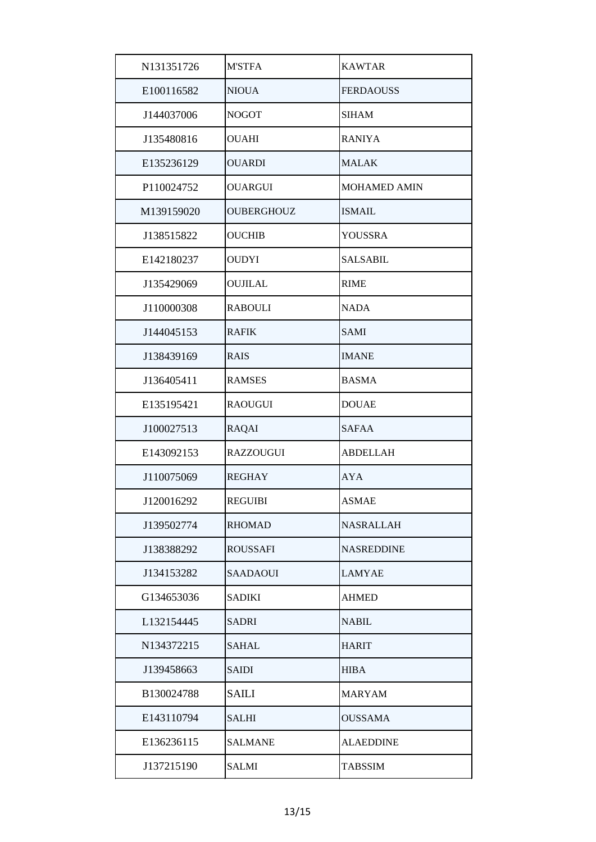| N131351726 | <b>M'STFA</b>     | <b>KAWTAR</b>       |
|------------|-------------------|---------------------|
| E100116582 | <b>NIOUA</b>      | <b>FERDAOUSS</b>    |
| J144037006 | <b>NOGOT</b>      | <b>SIHAM</b>        |
| J135480816 | <b>OUAHI</b>      | <b>RANIYA</b>       |
| E135236129 | <b>OUARDI</b>     | <b>MALAK</b>        |
| P110024752 | <b>OUARGUI</b>    | <b>MOHAMED AMIN</b> |
| M139159020 | <b>OUBERGHOUZ</b> | <b>ISMAIL</b>       |
| J138515822 | <b>OUCHIB</b>     | YOUSSRA             |
| E142180237 | <b>OUDYI</b>      | <b>SALSABIL</b>     |
| J135429069 | <b>OUJILAL</b>    | <b>RIME</b>         |
| J110000308 | <b>RABOULI</b>    | <b>NADA</b>         |
| J144045153 | <b>RAFIK</b>      | <b>SAMI</b>         |
| J138439169 | <b>RAIS</b>       | <b>IMANE</b>        |
| J136405411 | <b>RAMSES</b>     | <b>BASMA</b>        |
| E135195421 | <b>RAOUGUI</b>    | <b>DOUAE</b>        |
| J100027513 | <b>RAQAI</b>      | <b>SAFAA</b>        |
| E143092153 | <b>RAZZOUGUI</b>  | <b>ABDELLAH</b>     |
| J110075069 | <b>REGHAY</b>     | <b>AYA</b>          |
| J120016292 | REGUIBI           | <b>ASMAE</b>        |
| J139502774 | <b>RHOMAD</b>     | <b>NASRALLAH</b>    |
| J138388292 | <b>ROUSSAFI</b>   | <b>NASREDDINE</b>   |
| J134153282 | <b>SAADAOUI</b>   | LAMYAE              |
| G134653036 | <b>SADIKI</b>     | <b>AHMED</b>        |
| L132154445 | <b>SADRI</b>      | <b>NABIL</b>        |
| N134372215 | <b>SAHAL</b>      | <b>HARIT</b>        |
| J139458663 | <b>SAIDI</b>      | <b>HIBA</b>         |
| B130024788 | <b>SAILI</b>      | <b>MARYAM</b>       |
| E143110794 | <b>SALHI</b>      | <b>OUSSAMA</b>      |
| E136236115 | <b>SALMANE</b>    | <b>ALAEDDINE</b>    |
| J137215190 | <b>SALMI</b>      | TABSSIM             |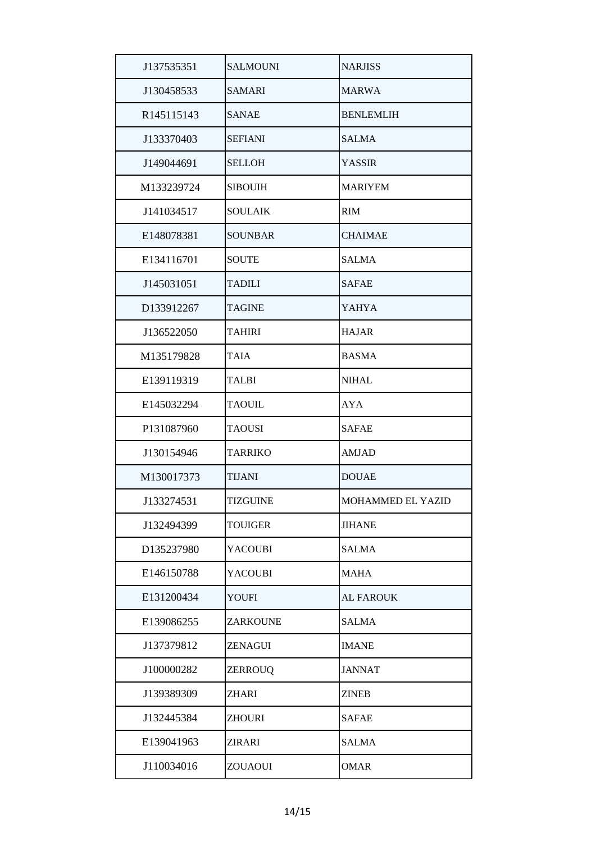| J137535351 | <b>SALMOUNI</b> | <b>NARJISS</b>    |
|------------|-----------------|-------------------|
| J130458533 | SAMARI          | <b>MARWA</b>      |
| R145115143 | <b>SANAE</b>    | <b>BENLEMLIH</b>  |
| J133370403 | <b>SEFIANI</b>  | <b>SALMA</b>      |
| J149044691 | <b>SELLOH</b>   | <b>YASSIR</b>     |
| M133239724 | <b>SIBOUIH</b>  | <b>MARIYEM</b>    |
| J141034517 | <b>SOULAIK</b>  | <b>RIM</b>        |
| E148078381 | <b>SOUNBAR</b>  | <b>CHAIMAE</b>    |
| E134116701 | <b>SOUTE</b>    | <b>SALMA</b>      |
| J145031051 | <b>TADILI</b>   | <b>SAFAE</b>      |
| D133912267 | <b>TAGINE</b>   | <b>YAHYA</b>      |
| J136522050 | <b>TAHIRI</b>   | <b>HAJAR</b>      |
| M135179828 | TAIA            | <b>BASMA</b>      |
| E139119319 | <b>TALBI</b>    | <b>NIHAL</b>      |
| E145032294 | <b>TAOUIL</b>   | <b>AYA</b>        |
| P131087960 | <b>TAOUSI</b>   | <b>SAFAE</b>      |
| J130154946 | TARRIKO         | <b>AMJAD</b>      |
| M130017373 | TIJANI          | <b>DOUAE</b>      |
| J133274531 | TIZGUINE        | MOHAMMED EL YAZID |
| J132494399 | <b>TOUIGER</b>  | <b>JIHANE</b>     |
| D135237980 | <b>YACOUBI</b>  | <b>SALMA</b>      |
| E146150788 | <b>YACOUBI</b>  | <b>MAHA</b>       |
| E131200434 | YOUFI           | <b>AL FAROUK</b>  |
| E139086255 | ZARKOUNE        | <b>SALMA</b>      |
| J137379812 | ZENAGUI         | <b>IMANE</b>      |
| J100000282 | ZERROUQ         | <b>JANNAT</b>     |
| J139389309 | ZHARI           | <b>ZINEB</b>      |
| J132445384 | ZHOURI          | <b>SAFAE</b>      |
| E139041963 | ZIRARI          | <b>SALMA</b>      |
| J110034016 | ZOUAOUI         | <b>OMAR</b>       |